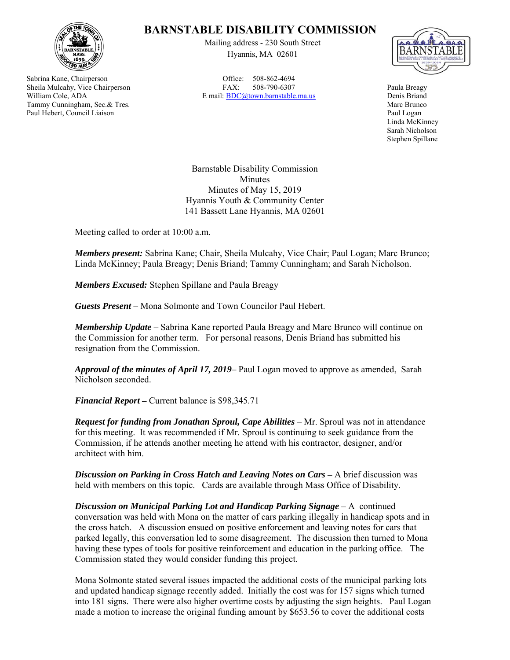

Sabrina Kane, Chairperson Sheila Mulcahy, Vice Chairperson William Cole, ADA Tammy Cunningham, Sec.& Tres. Paul Hebert, Council Liaison

## **BARNSTABLE DISABILITY COMMISSION**

Mailing address - 230 South Street Hyannis, MA 02601

Office: 508-862-4694 FAX: 508-790-6307 E mail: BDC@town.barnstable.ma.us



Paula Breagy Denis Briand Marc Brunco Paul Logan Linda McKinney Sarah Nicholson Stephen Spillane

Barnstable Disability Commission Minutes Minutes of May 15, 2019 Hyannis Youth & Community Center 141 Bassett Lane Hyannis, MA 02601

Meeting called to order at 10:00 a.m.

*Members present:* Sabrina Kane; Chair, Sheila Mulcahy, Vice Chair; Paul Logan; Marc Brunco; Linda McKinney; Paula Breagy; Denis Briand; Tammy Cunningham; and Sarah Nicholson.

*Members Excused:* Stephen Spillane and Paula Breagy

*Guests Present* – Mona Solmonte and Town Councilor Paul Hebert.

*Membership Update* – Sabrina Kane reported Paula Breagy and Marc Brunco will continue on the Commission for another term. For personal reasons, Denis Briand has submitted his resignation from the Commission.

*Approval of the minutes of April 17, 2019*– Paul Logan moved to approve as amended, Sarah Nicholson seconded.

*Financial Report –* Current balance is \$98,345.71

*Request for funding from Jonathan Sproul, Cape Abilities* – Mr. Sproul was not in attendance for this meeting. It was recommended if Mr. Sproul is continuing to seek guidance from the Commission, if he attends another meeting he attend with his contractor, designer, and/or architect with him.

*Discussion on Parking in Cross Hatch and Leaving Notes on Cars – A brief discussion was* held with members on this topic. Cards are available through Mass Office of Disability.

*Discussion on Municipal Parking Lot and Handicap Parking Signage* – A continued conversation was held with Mona on the matter of cars parking illegally in handicap spots and in the cross hatch. A discussion ensued on positive enforcement and leaving notes for cars that parked legally, this conversation led to some disagreement. The discussion then turned to Mona having these types of tools for positive reinforcement and education in the parking office. The Commission stated they would consider funding this project.

Mona Solmonte stated several issues impacted the additional costs of the municipal parking lots and updated handicap signage recently added. Initially the cost was for 157 signs which turned into 181 signs. There were also higher overtime costs by adjusting the sign heights. Paul Logan made a motion to increase the original funding amount by \$653.56 to cover the additional costs